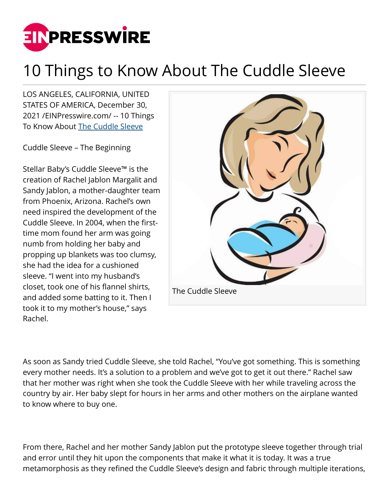

## 10 Things to Know About The Cuddle Sleeve

LOS ANGELES, CALIFORNIA, UNITED STATES OF AMERICA, December 30, 2021 /[EINPresswire.com](http://www.einpresswire.com)/ -- 10 Things To Know About [The Cuddle Sleeve](http://www.cuddlesleeve.com)

Cuddle Sleeve – The Beginning

Stellar Baby's Cuddle Sleeve™ is the creation of Rachel Jablon Margalit and Sandy Jablon, a mother-daughter team from Phoenix, Arizona. Rachel's own need inspired the development of the Cuddle Sleeve. In 2004, when the firsttime mom found her arm was going numb from holding her baby and propping up blankets was too clumsy, she had the idea for a cushioned sleeve. "I went into my husband's closet, took one of his flannel shirts, and added some batting to it. Then I took it to my mother's house," says Rachel.



As soon as Sandy tried Cuddle Sleeve, she told Rachel, "You've got something. This is something every mother needs. It's a solution to a problem and we've got to get it out there." Rachel saw that her mother was right when she took the Cuddle Sleeve with her while traveling across the country by air. Her baby slept for hours in her arms and other mothers on the airplane wanted to know where to buy one.

From there, Rachel and her mother Sandy Jablon put the prototype sleeve together through trial and error until they hit upon the components that make it what it is today. It was a true metamorphosis as they refined the Cuddle Sleeve's design and fabric through multiple iterations,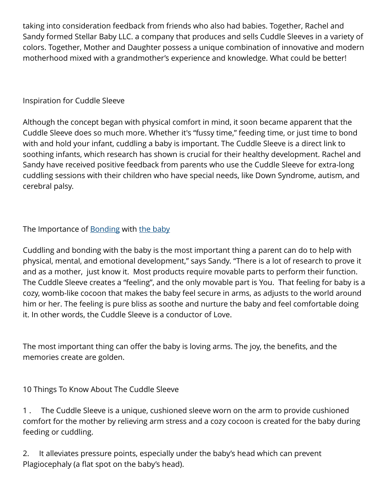taking into consideration feedback from friends who also had babies. Together, Rachel and Sandy formed Stellar Baby LLC. a company that produces and sells Cuddle Sleeves in a variety of colors. Together, Mother and Daughter possess a unique combination of innovative and modern motherhood mixed with a grandmother's experience and knowledge. What could be better!

## Inspiration for Cuddle Sleeve

Although the concept began with physical comfort in mind, it soon became apparent that the Cuddle Sleeve does so much more. Whether it's "fussy time," feeding time, or just time to bond with and hold your infant, cuddling a baby is important. The Cuddle Sleeve is a direct link to soothing infants, which research has shown is crucial for their healthy development. Rachel and Sandy have received positive feedback from parents who use the Cuddle Sleeve for extra-long cuddling sessions with their children who have special needs, like Down Syndrome, autism, and cerebral palsy.

The Importance of [Bonding](http://www.cuddlesleeve.com) with [the baby](http://www.cuddlesleeve.com)

Cuddling and bonding with the baby is the most important thing a parent can do to help with physical, mental, and emotional development," says Sandy. "There is a lot of research to prove it and as a mother, just know it. Most products require movable parts to perform their function. The Cuddle Sleeve creates a "feeling", and the only movable part is You. That feeling for baby is a cozy, womb-like cocoon that makes the baby feel secure in arms, as adjusts to the world around him or her. The feeling is pure bliss as soothe and nurture the baby and feel comfortable doing it. In other words, the Cuddle Sleeve is a conductor of Love.

The most important thing can offer the baby is loving arms. The joy, the benefits, and the memories create are golden.

10 Things To Know About The Cuddle Sleeve

1 . The Cuddle Sleeve is a unique, cushioned sleeve worn on the arm to provide cushioned comfort for the mother by relieving arm stress and a cozy cocoon is created for the baby during feeding or cuddling.

2. It alleviates pressure points, especially under the baby's head which can prevent Plagiocephaly (a flat spot on the baby's head).